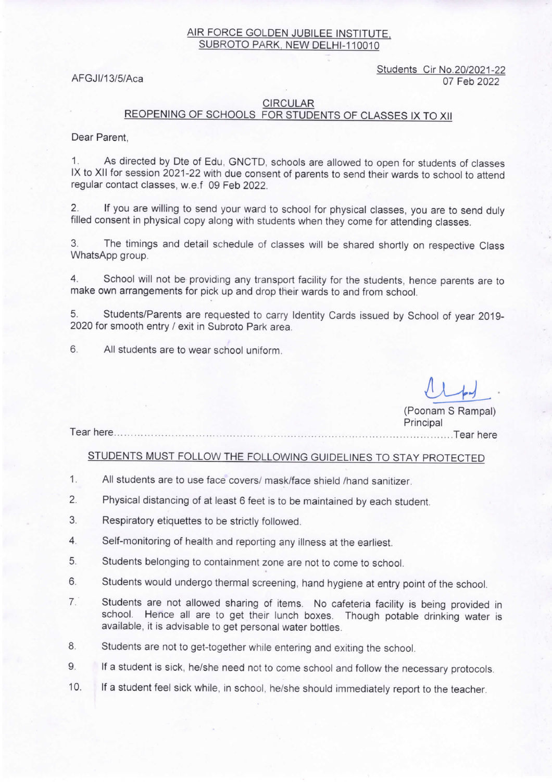## AIR FORCE GOLDEN JUBILEE INSTITUTE, SUBROTO PARK, NEW DELHI-110010

Students Cir No.20/2021-22 AFGJI/13/5/Aca 07 Feb 2022

 $u+1$ .</u>

#### CIRCULAR

# REOPENING OF SCHOOLS FOR STUDENTS OF CLASSES IX TO XII

Dear Parent,

1. As directed by Dte of Edu, GNCTD, schools are allowed to open for students of classes IX to XII for session 2021-22 with due consent of parents to send their wards to school to attend regular contact classes, w.e.f 09 Feb 2022.

2. If you are willing to send your ward to school for physical classes, you are to send duly filled consent in physical copy along with students when they come for attending classes.

3. The timings and detail schedule of classes will be shared shortly on respective Class WhatsApp group.

4. School will not be providing any transport facility for the students, hence parents are to make own arrangements for pick up and drop their wards to and from school.

5. Students/Parents are requested to carry Identity Cards issued by School of year 2019- 2020 for smooth entry / exit in Subroto Park area.

6. All students are to wear school uniform.

Tear here (Poonam S Rampal) **Principal** ....Tear here

STUDENTS MUST FOLLOW THE FOLLOWING GUIDELINES TO STAY PROTECTED

- 1. All students are to use face covers/ mask/face shield /hand sanitizer.
- 2. Physical distancing of at least 6 feet is to be maintained by each student.
- 3. Respiratory etiquettes to be strictly followed.
- 4. Self-monitoring of health and reporting any illness at the earliest.
- 5. Students belonging to containment zone are not to come to school.
- 6. Students would undergo thermal screening, hand hygiene at entry point of the school.
- 7. Students are not allowed sharing of items. No cafeteria facility is being provided in school. Hence all are to get their lunch boxes. Though potable drinking water is available, it is advisable to get personal water bottles.
- 8. Students are not to get-together while entering and exiting the school.
- 9. If a student is sick, he/she need not to come school and follow the necessary protocols.
- 10. If a student feel sick while, in school, he/she should immediately report to the teacher.